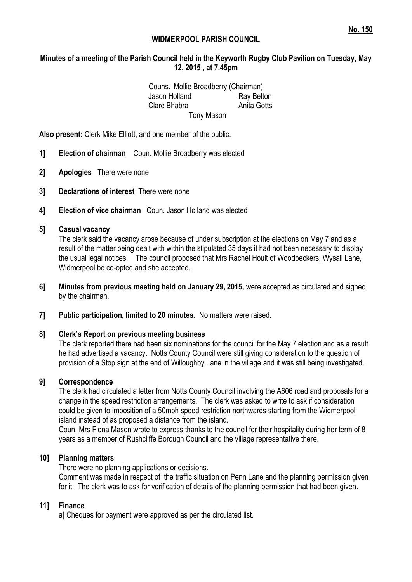### **WIDMERPOOL PARISH COUNCIL**

## **Minutes of a meeting of the Parish Council held in the Keyworth Rugby Club Pavilion on Tuesday, May 12, 2015 , at 7.45pm**

Couns. Mollie Broadberry (Chairman) Jason Holland Ray Belton Clare Bhabra **Anita Gotts** Tony Mason

**Also present:** Clerk Mike Elliott, and one member of the public.

- **1] Election of chairman** Coun. Mollie Broadberry was elected
- **2] Apologies** There were none
- **3] Declarations of interest** There were none
- **4] Election of vice chairman** Coun. Jason Holland was elected

### **5] Casual vacancy**

The clerk said the vacancy arose because of under subscription at the elections on May 7 and as a result of the matter being dealt with within the stipulated 35 days it had not been necessary to display the usual legal notices. The council proposed that Mrs Rachel Hoult of Woodpeckers, Wysall Lane, Widmerpool be co-opted and she accepted.

- **6] Minutes from previous meeting held on January 29, 2015,** were accepted as circulated and signed by the chairman.
- **7] Public participation, limited to 20 minutes.** No matters were raised.

#### **8] Clerk's Report on previous meeting business**

The clerk reported there had been six nominations for the council for the May 7 election and as a result he had advertised a vacancy. Notts County Council were still giving consideration to the question of provision of a Stop sign at the end of Willoughby Lane in the village and it was still being investigated.

#### **9] Correspondence**

The clerk had circulated a letter from Notts County Council involving the A606 road and proposals for a change in the speed restriction arrangements. The clerk was asked to write to ask if consideration could be given to imposition of a 50mph speed restriction northwards starting from the Widmerpool island instead of as proposed a distance from the island.

Coun. Mrs Fiona Mason wrote to express thanks to the council for their hospitality during her term of 8 years as a member of Rushcliffe Borough Council and the village representative there.

#### **10] Planning matters**

There were no planning applications or decisions. Comment was made in respect of the traffic situation on Penn Lane and the planning permission given for it. The clerk was to ask for verification of details of the planning permission that had been given.

#### **11] Finance**

a] Cheques for payment were approved as per the circulated list.